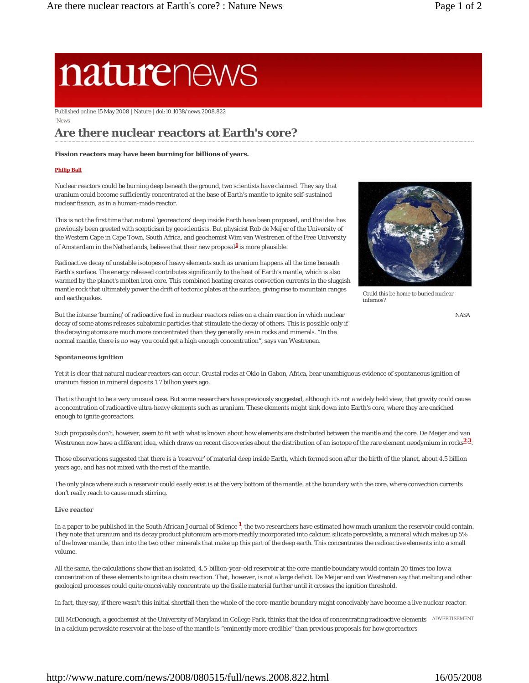# naturenews

Published online 15 May 2008 | Nature | doi:10.1038/news.2008.822

News

# **Are there nuclear reactors at Earth's core?**

#### **Fission reactors may have been burning for billions of years.**

#### **Philip Ball**

Nuclear reactors could be burning deep beneath the ground, two scientists have claimed. They say that uranium could become sufficiently concentrated at the base of Earth's mantle to ignite self-sustained nuclear fission, as in a human-made reactor.

This is not the first time that natural 'georeactors' deep inside Earth have been proposed, and the idea has previously been greeted with scepticism by geoscientists. But physicist Rob de Meijer of the University of the Western Cape in Cape Town, South Africa, and geochemist Wim van Westrenen of the Free University of Amsterdam in the Netherlands, believe that their new proposal**1** is more plausible.

Radioactive decay of unstable isotopes of heavy elements such as uranium happens all the time beneath Earth's surface. The energy released contributes significantly to the heat of Earth's mantle, which is also warmed by the planet's molten iron core. This combined heating creates convection currents in the sluggish mantle rock that ultimately power the drift of tectonic plates at the surface, giving rise to mountain ranges and earthquakes.

But the intense 'burning' of radioactive fuel in nuclear reactors relies on a chain reaction in which nuclear decay of some atoms releases subatomic particles that stimulate the decay of others. This is possible only if the decaying atoms are much more concentrated than they generally are in rocks and minerals. "In the normal mantle, there is no way you could get a high enough concentration", says van Westrenen.



Could this be home to buried nuclear infernos?

#### **Spontaneous ignition**

Yet it is clear that natural nuclear reactors can occur. Crustal rocks at Oklo in Gabon, Africa, bear unambiguous evidence of spontaneous ignition of uranium fission in mineral deposits 1.7 billion years ago.

That is thought to be a very unusual case. But some researchers have previously suggested, although it's not a widely held view, that gravity could cause a concentration of radioactive ultra-heavy elements such as uranium. These elements might sink down into Earth's core, where they are enriched enough to ignite georeactors.

Such proposals don't, however, seem to fit with what is known about how elements are distributed between the mantle and the core. De Meijer and van Westrenen now have a different idea, which draws on recent discoveries about the distribution of an isotope of the rare element neodymium in rocks**2**,**3**.

Those observations suggested that there is a 'reservoir' of material deep inside Earth, which formed soon after the birth of the planet, about 4.5 billion years ago, and has not mixed with the rest of the mantle.

The only place where such a reservoir could easily exist is at the very bottom of the mantle, at the boundary with the core, where convection currents don't really reach to cause much stirring.

#### **Live reactor**

In a paper to be published in the *South African Journal of Science* **1**, the two researchers have estimated how much uranium the reservoir could contain. They note that uranium and its decay product plutonium are more readily incorporated into calcium silicate perovskite, a mineral which makes up 5% of the lower mantle, than into the two other minerals that make up this part of the deep earth. This concentrates the radioactive elements into a small volume.

All the same, the calculations show that an isolated, 4.5-billion-year-old reservoir at the core-mantle boundary would contain 20 times too low a concentration of these elements to ignite a chain reaction. That, however, is not a large deficit. De Meijer and van Westrenen say that melting and other geological processes could quite conceivably concentrate up the fissile material further until it crosses the ignition threshold.

In fact, they say, if there wasn't this initial shortfall then the whole of the core-mantle boundary might conceivably have become a live nuclear reactor.

Bill McDonough, a geochemist at the University of Maryland in College Park, thinks that the idea of concentrating radioactive elements ADVERTISEMENT in a calcium perovskite reservoir at the base of the mantle is "eminently more credible" than previous proposals for how georeactors